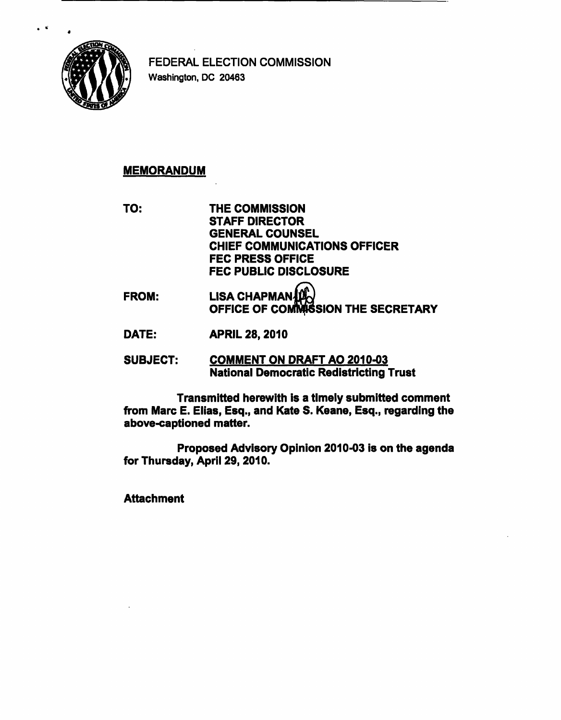

FEDERAL ELECTION COMMISSION Washington, DC 20463

## MEMORANDUM

TO: THE COMMISSION STAFF DIRECTOR GENERAL COUNSEL CHIEF COMMUNICATIONS OFFICER FEC PRESS OFFICE FEC PUBLIC DISCLOSURE

- FROM: LISA CHAPMAN OFFICE OF COMMISSION THE SECRETARY
- DATE: APRIL 28,2010

SUBJECT: COMMENT ON DRAFT AO 2010-03 National Democratic Redistricting Trust

Transmitted herewith is a timely submitted comment from Marc E. Elias, Esq., and Kate S. Keane, Esq., regarding the above-captioned matter.

Proposed Advisory Opinion 2010-03 is on the agenda for Thursday, April 29, 2010.

**Attachment**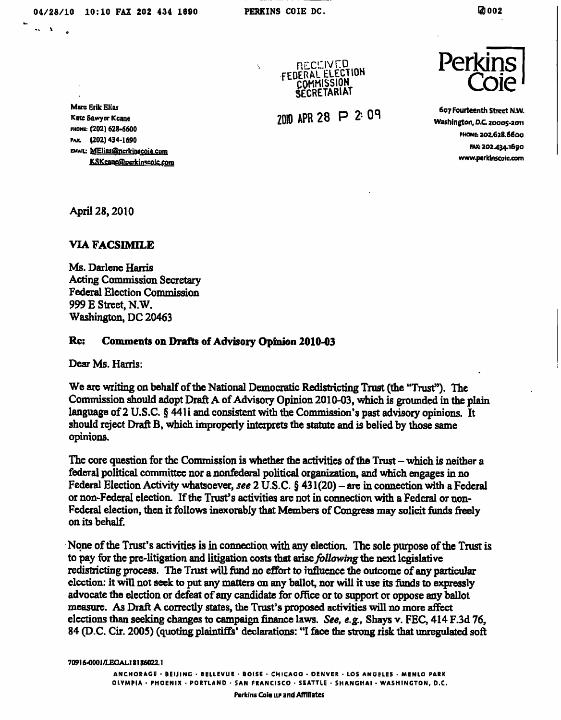÷.

 $\sim$   $\infty$ 

RECEIVED<br>FEDERAL ELECTION COMMISSION **SECRETARIAT** 

2010 APR 28 P 2:09



607 Fourteenth Street N.W. Washington, D.C. 20005-2011<br>PHONE: 202.628.6600 rax: 20<mark>2.434.16</mark>90 www.perkinscoic.com

Mans Erik Elias Kate Sawyer Kcane PHONE: (202) 628-6600 PAX. (202) 434-1690 EMAIL: MElias@nerkinscoie.com KSKcane@perkinscolc.com

April 28, 2010

## VIA FACSIMILE

Ms. Darlene Harris Acting Commission Secretary Federal Election Commission 999 E Street, N.W. Washington, DC 20463

## Re: Comments on Drafts of Advisory Opinion 2010-03

Dear Ms. Harris:

We are writing on behalf of the National Democratic Redistricting Trust (the "Trust"). The Commission should adopt Draft A of Advisory Opinion 2010-03, which is grounded in the plain language of 2 U.S.C. § 441 i and consistent with the Commission's past advisory opinions. It should reject Draft B, which improperly interprets the statute and is belied by those same opinions.

The core question for the Commission is whether the activities of the Trust  $-$  which is neither a federal political committee nor a nonfederal political organization, and which engages in no Federal Election Activity whatsoever, see 2 U.S.C.  $\S$  431(20) – are in connection with a Federal or non-Federal election. If the Trust's activities are not in connection with a Federal or non-Federal election, then it follows inexorably that Members of Congress may solicit funds freely on its behalf.

None of the Trust's activities is in connection with any election. The sole purpose of the Trust is to pay for the pre-litigation and litigation costs that arise *following* the next legislative redistricting process. The Trust will fund no effort to influence the outcome of any particular election: it will not seek to put any matters on any ballot, nor will it use its funds to expressly advocate the election or defeat of any candidate for office or to support or oppose any ballot measure. As Draft A correctly states, the Trust's proposed activities will no more affect elections than seeking changes to campaign finance laws. See, e.g., Shays v. FEC, 414 F.3d 76, 84 (D.C. Cir. 2005) (quoting plaintiffs' declarations: "I face the strong risk that unregulated soft

7091 6-0001/LECAL1 81 86022. 1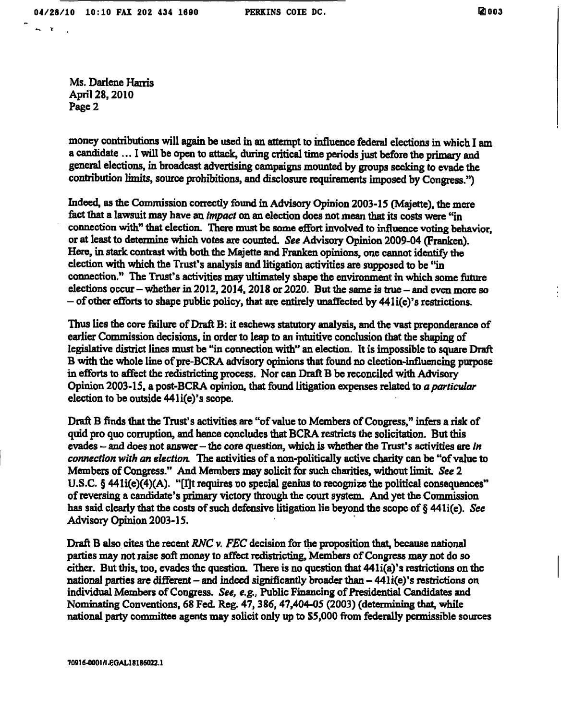$\sim$   $\sim$ 

Ms. Darlene Hanis April 28,2010 Page 2

money contributions will again be used in an attempt to influence federal elections in which I am a candidate ... I will be open to attack, during critical time periods just before the primary and general elections, in broadcast advertising campaigns mounted by groups seeking to evade the contribution limits, source prohibitions, and disclosure requirements imposed by Congress.")

Indeed, as the Commission correctly found in Advisory Opinion 2003-15 (Majette), the mere fact that a lawsuit may have an impact on an election does not mean that its costs were "in connection with" that election. There must be some effort involved to influence voting behavior, or at least to determine which votes are counted. See Advisory Opinion 2009-04 (Franken). Here, in stark contrast with both the Majette and Franken opinions, one cannot identify the election with which the Trust's analysis and litigation activities are supposed to be "in connection." The Trust's activities may ultimately shape the environment in which some future elections occur - whether in 2012, 2014, 2018 or 2020. But the same is true - and even more so - of other efforts to shape public policy, that are entirely unaffected by 441i(e)'s restrictions.

Thus lies the core failure of Draft B: it eschews statutory analysis, and the vast preponderance of earlier Commission decisions, in order to leap to an intuitive conclusion that the shaping of legislative district lines must be "in connection with" an election. It is impossible to square Draft B with the whole line of pre-BCRA advisory opinions that found no election-influencing purpose in efforts to affect the redistricting process. Nor can Draft B be reconciled with Advisory Opinion 2003-15, a post-BCRA opinion, that found litigation expenses related to a particular election to be outside 441 i(e)'s scope.

Draft B finds that the Trust's activities are "of value to Members of Congress," infers a risk of quid pro quo corruption, and hence concludes that BCRA restricts the solicitation. But this evades  $-$  and does not answer - the core question, which is whether the Trust's activities are in connection with an election. The activities of a non-politically active charity can be "of value to Members of Congress." And Members may solicit for such charities, without limit. See 2 U.S.C. § 441i(e)(4)(A). "[I]t requires no special genius to recognize the political consequences" of reversing a candidate's primary victory through the court system. And yet the Commission has said clearly that the costs of such defensive litigation lie beyond the scope of § 441 i(e). See Advisory Opinion 2003-15.

Draft B also cites the recent RNC  $\nu$ . FEC decision for the proposition that, because national parties may not raise soft money to affect redistricting, Members of Congress may not do so either. But this, too, evades the question. There is no question that 441i(a)'s restrictions on the national parties are different – and indeed significantly broader than  $-441i(e)$ 's restrictions on individual Members of Congress. See, e.g., Public Financing of Presidential Candidates and Nominating Conventions, 68 Fed. Reg. 47, 386, 47,404-05 (2003) (determining that, while national party committee agents may solicit only up to \$5,000 from federally permissible sources